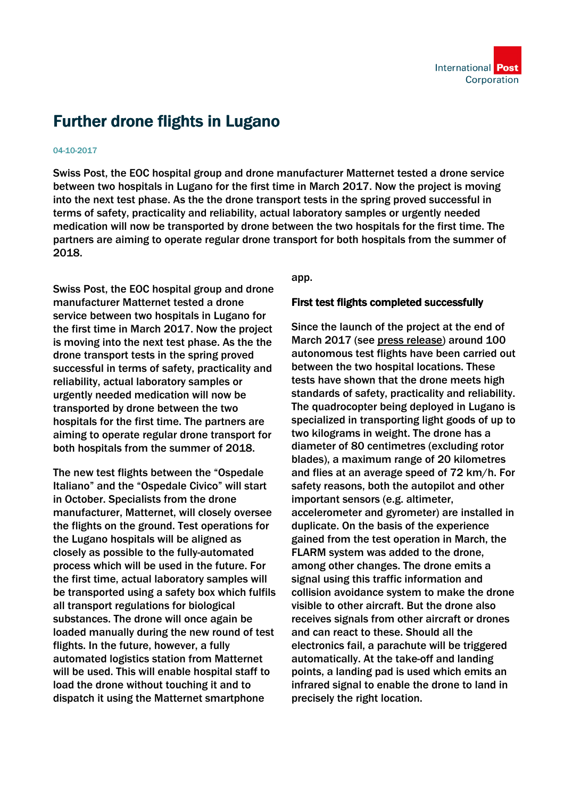

## Further drone flights in Lugano

## 04-10-2017

Swiss Post, the EOC hospital group and drone manufacturer Matternet tested a drone service between two hospitals in Lugano for the first time in March 2017. Now the project is moving into the next test phase. As the the drone transport tests in the spring proved successful in terms of safety, practicality and reliability, actual laboratory samples or urgently needed medication will now be transported by drone between the two hospitals for the first time. The partners are aiming to operate regular drone transport for both hospitals from the summer of 2018.

Swiss Post, the EOC hospital group and drone manufacturer Matternet tested a drone service between two hospitals in Lugano for the first time in March 2017. Now the project is moving into the next test phase. As the the drone transport tests in the spring proved successful in terms of safety, practicality and reliability, actual laboratory samples or urgently needed medication will now be transported by drone between the two hospitals for the first time. The partners are aiming to operate regular drone transport for both hospitals from the summer of 2018.

The new test flights between the "Ospedale Italiano" and the "Ospedale Civico" will start in October. Specialists from the drone manufacturer, Matternet, will closely oversee the flights on the ground. Test operations for the Lugano hospitals will be aligned as closely as possible to the fully-automated process which will be used in the future. For the first time, actual laboratory samples will be transported using a safety box which fulfils all transport regulations for biological substances. The drone will once again be loaded manually during the new round of test flights. In the future, however, a fully automated logistics station from Matternet will be used. This will enable hospital staff to load the drone without touching it and to dispatch it using the Matternet smartphone

app.

## First test flights completed successfully

Since the launch of the project at the end of March 2017 (see [press release\)](https://www.post.ch/en/companycars/post-company-cars-ltd/media/2017/swiss-post-drone-to-fly-laboratory-samples-for-ticino-hospitals) around 100 autonomous test flights have been carried out between the two hospital locations. These tests have shown that the drone meets high standards of safety, practicality and reliability. The quadrocopter being deployed in Lugano is specialized in transporting light goods of up to two kilograms in weight. The drone has a diameter of 80 centimetres (excluding rotor blades), a maximum range of 20 kilometres and flies at an average speed of 72 km/h. For safety reasons, both the autopilot and other important sensors (e.g. altimeter, accelerometer and gyrometer) are installed in duplicate. On the basis of the experience gained from the test operation in March, the FLARM system was added to the drone, among other changes. The drone emits a signal using this traffic information and collision avoidance system to make the drone visible to other aircraft. But the drone also receives signals from other aircraft or drones and can react to these. Should all the electronics fail, a parachute will be triggered automatically. At the take-off and landing points, a landing pad is used which emits an infrared signal to enable the drone to land in precisely the right location.